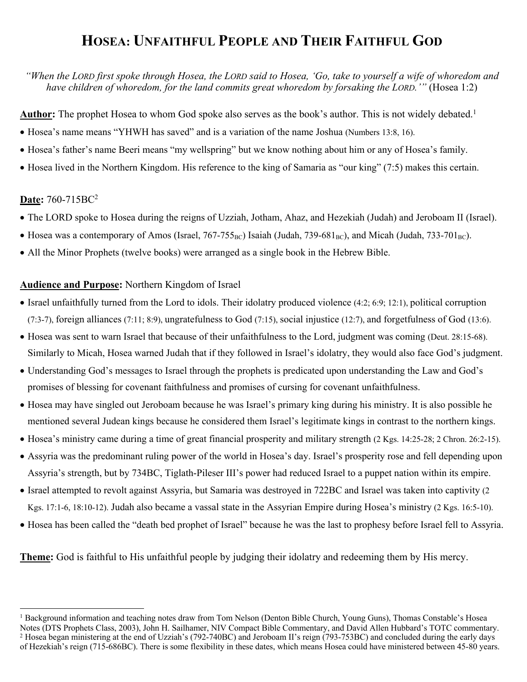# **HOSEA: UNFAITHFUL PEOPLE AND THEIR FAITHFUL GOD**

*"When the LORD first spoke through Hosea, the LORD said to Hosea, 'Go, take to yourself a wife of whoredom and have children of whoredom, for the land commits great whoredom by forsaking the LORD.'"* (Hosea 1:2)

**Author:** The prophet Hosea to whom God spoke also serves as the book's author. This is not widely debated.<sup>1</sup>

- Hosea's name means "YHWH has saved" and is a variation of the name Joshua (Numbers 13:8, 16).
- Hosea's father's name Beeri means "my wellspring" but we know nothing about him or any of Hosea's family.
- Hosea lived in the Northern Kingdom. His reference to the king of Samaria as "our king" (7:5) makes this certain.

#### **Date:** 760-715BC2

 

- The LORD spoke to Hosea during the reigns of Uzziah, Jotham, Ahaz, and Hezekiah (Judah) and Jeroboam II (Israel).
- Hosea was a contemporary of Amos (Israel,  $767-755_{BC}$ ) Isaiah (Judah, 739-681<sub>BC</sub>), and Micah (Judah, 733-701<sub>BC</sub>).
- All the Minor Prophets (twelve books) were arranged as a single book in the Hebrew Bible.

#### **Audience and Purpose:** Northern Kingdom of Israel

- Israel unfaithfully turned from the Lord to idols. Their idolatry produced violence (4:2; 6:9; 12:1), political corruption (7:3-7), foreign alliances (7:11; 8:9), ungratefulness to God (7:15), social injustice (12:7), and forgetfulness of God (13:6).
- Hosea was sent to warn Israel that because of their unfaithfulness to the Lord, judgment was coming (Deut. 28:15-68). Similarly to Micah, Hosea warned Judah that if they followed in Israel's idolatry, they would also face God's judgment.
- Understanding God's messages to Israel through the prophets is predicated upon understanding the Law and God's promises of blessing for covenant faithfulness and promises of cursing for covenant unfaithfulness.
- Hosea may have singled out Jeroboam because he was Israel's primary king during his ministry. It is also possible he mentioned several Judean kings because he considered them Israel's legitimate kings in contrast to the northern kings.
- Hosea's ministry came during a time of great financial prosperity and military strength (2 Kgs. 14:25-28; 2 Chron. 26:2-15).
- Assyria was the predominant ruling power of the world in Hosea's day. Israel's prosperity rose and fell depending upon Assyria's strength, but by 734BC, Tiglath-Pileser III's power had reduced Israel to a puppet nation within its empire.
- Israel attempted to revolt against Assyria, but Samaria was destroyed in 722BC and Israel was taken into captivity (2 Kgs. 17:1-6, 18:10-12). Judah also became a vassal state in the Assyrian Empire during Hosea's ministry (2 Kgs. 16:5-10).
- Hosea has been called the "death bed prophet of Israel" because he was the last to prophesy before Israel fell to Assyria.

**Theme:** God is faithful to His unfaithful people by judging their idolatry and redeeming them by His mercy.

<sup>&</sup>lt;sup>1</sup> Background information and teaching notes draw from Tom Nelson (Denton Bible Church, Young Guns), Thomas Constable's Hosea Notes (DTS Prophets Class, 2003), John H. Sailhamer, NIV Compact Bible Commentary, and David Allen Hubbard's TOTC commentary. <sup>2</sup> Hosea began ministering at the end of Uzziah's (792-740BC) and Jeroboam II's reign (793-753BC) and concluded during the early days of Hezekiah's reign (715-686BC). There is some flexibility in these dates, which means Hosea could have ministered between 45-80 years.